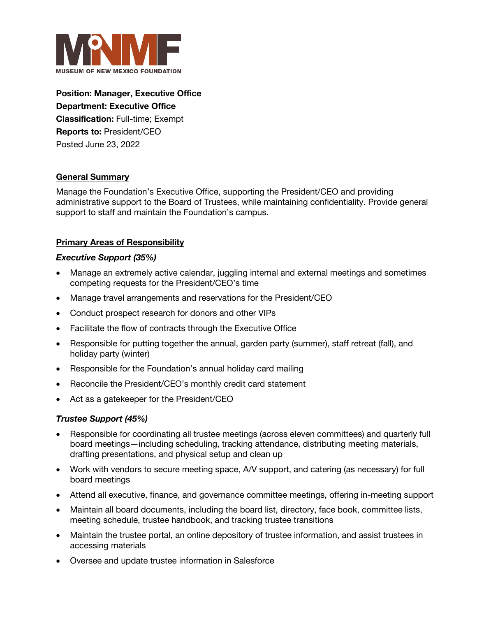

**Position: Manager, Executive Office Department: Executive Office Classification:** Full-time; Exempt **Reports to:** President/CEO Posted June 23, 2022

## **General Summary**

Manage the Foundation's Executive Office, supporting the President/CEO and providing administrative support to the Board of Trustees, while maintaining confidentiality. Provide general support to staff and maintain the Foundation's campus.

# **Primary Areas of Responsibility**

#### *Executive Support (35%)*

- Manage an extremely active calendar, juggling internal and external meetings and sometimes competing requests for the President/CEO's time
- Manage travel arrangements and reservations for the President/CEO
- Conduct prospect research for donors and other VIPs
- Facilitate the flow of contracts through the Executive Office
- Responsible for putting together the annual, garden party (summer), staff retreat (fall), and holiday party (winter)
- Responsible for the Foundation's annual holiday card mailing
- Reconcile the President/CEO's monthly credit card statement
- Act as a gatekeeper for the President/CEO

## *Trustee Support (45%)*

- Responsible for coordinating all trustee meetings (across eleven committees) and quarterly full board meetings—including scheduling, tracking attendance, distributing meeting materials, drafting presentations, and physical setup and clean up
- Work with vendors to secure meeting space, A/V support, and catering (as necessary) for full board meetings
- Attend all executive, finance, and governance committee meetings, offering in-meeting support
- Maintain all board documents, including the board list, directory, face book, committee lists, meeting schedule, trustee handbook, and tracking trustee transitions
- Maintain the trustee portal, an online depository of trustee information, and assist trustees in accessing materials
- Oversee and update trustee information in Salesforce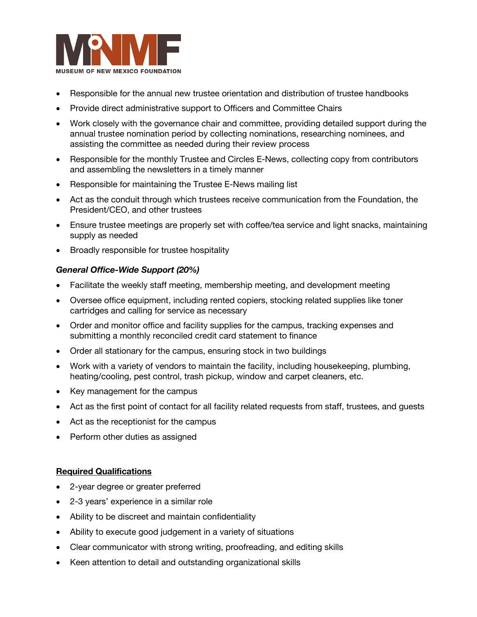

- Responsible for the annual new trustee orientation and distribution of trustee handbooks
- Provide direct administrative support to Officers and Committee Chairs
- Work closely with the governance chair and committee, providing detailed support during the annual trustee nomination period by collecting nominations, researching nominees, and assisting the committee as needed during their review process
- Responsible for the monthly Trustee and Circles E-News, collecting copy from contributors and assembling the newsletters in a timely manner
- Responsible for maintaining the Trustee E-News mailing list
- Act as the conduit through which trustees receive communication from the Foundation, the President/CEO, and other trustees
- Ensure trustee meetings are properly set with coffee/tea service and light snacks, maintaining supply as needed
- Broadly responsible for trustee hospitality

#### *General Office-Wide Support (20%)*

- Facilitate the weekly staff meeting, membership meeting, and development meeting
- Oversee office equipment, including rented copiers, stocking related supplies like toner cartridges and calling for service as necessary
- Order and monitor office and facility supplies for the campus, tracking expenses and submitting a monthly reconciled credit card statement to finance
- Order all stationary for the campus, ensuring stock in two buildings
- Work with a variety of vendors to maintain the facility, including housekeeping, plumbing, heating/cooling, pest control, trash pickup, window and carpet cleaners, etc.
- Key management for the campus
- Act as the first point of contact for all facility related requests from staff, trustees, and guests
- Act as the receptionist for the campus
- Perform other duties as assigned

## **Required Qualifications**

- 2-year degree or greater preferred
- 2-3 years' experience in a similar role
- Ability to be discreet and maintain confidentiality
- Ability to execute good judgement in a variety of situations
- Clear communicator with strong writing, proofreading, and editing skills
- Keen attention to detail and outstanding organizational skills